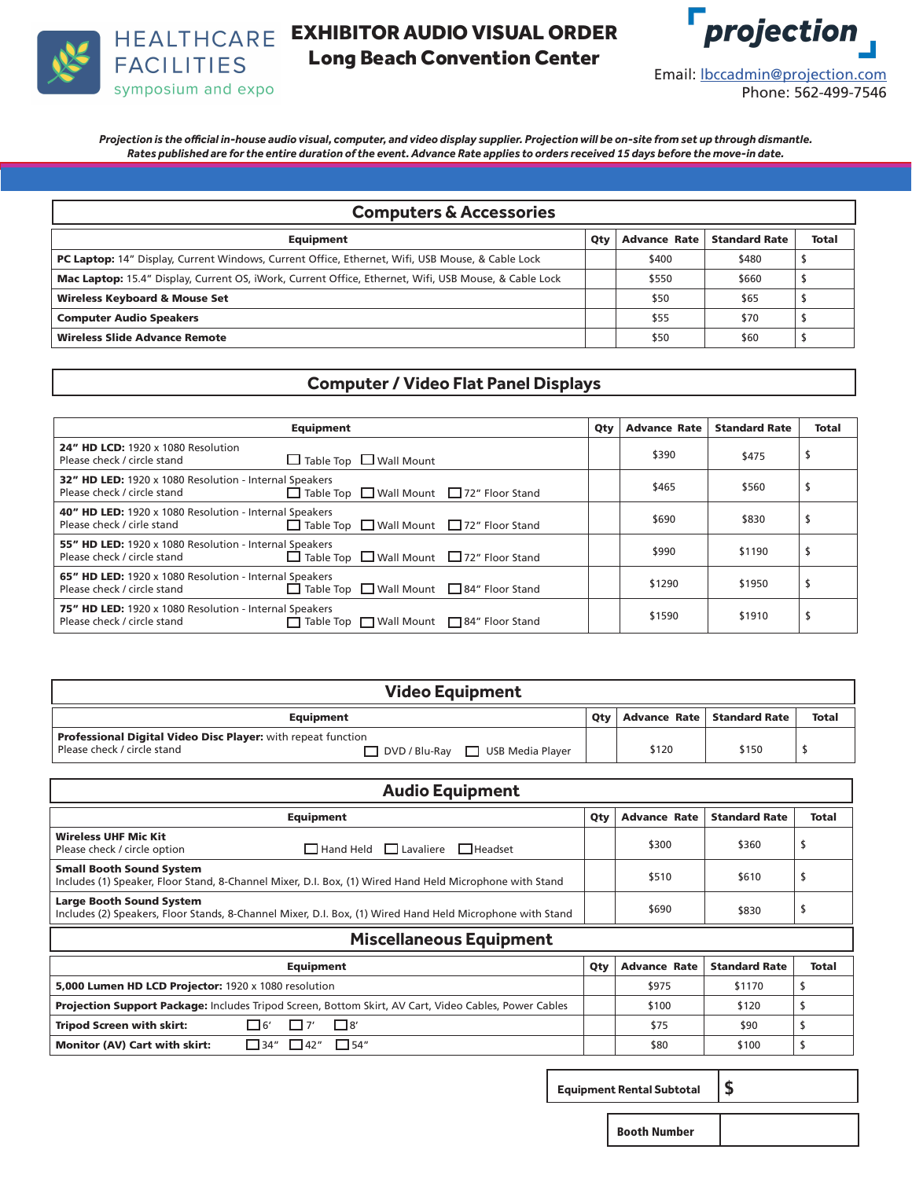

EXHIBITOR AUDIO VISUAL ORDER Long Beach Convention Center



*Projection is the official in-house audio visual, computer, and video display supplier. Projection will be on-site from set up through dismantle. Rates published are for the entire duration of the event. Advance Rate applies to orders received 15 days before the move-in date.*

| <b>Computers &amp; Accessories</b>                                                                           |     |                     |                      |              |  |
|--------------------------------------------------------------------------------------------------------------|-----|---------------------|----------------------|--------------|--|
| Equipment                                                                                                    | Qty | <b>Advance Rate</b> | <b>Standard Rate</b> | <b>Total</b> |  |
| <b>PC Laptop:</b> 14" Display, Current Windows, Current Office, Ethernet, Wifi, USB Mouse, & Cable Lock      |     | \$400               | \$480                |              |  |
| <b>Mac Laptop:</b> 15.4" Display, Current OS, iWork, Current Office, Ethernet, Wifi, USB Mouse, & Cable Lock |     | \$550               | \$660                |              |  |
| <b>Wireless Keyboard &amp; Mouse Set</b>                                                                     |     | \$50                | \$65                 |              |  |
| <b>Computer Audio Speakers</b>                                                                               |     | \$55                | \$70                 |              |  |
| Wireless Slide Advance Remote                                                                                |     | \$50                | \$60                 |              |  |

### **Computer / Video Flat Panel Displays**

| <b>Equipment</b>                                                                                                                                   | Qty | <b>Advance Rate</b> | <b>Standard Rate</b> | <b>Total</b> |
|----------------------------------------------------------------------------------------------------------------------------------------------------|-----|---------------------|----------------------|--------------|
| <b>24" HD LCD:</b> 1920 x 1080 Resolution<br>Table Top Mall Mount<br>Please check / circle stand                                                   |     | \$390               | \$475                |              |
| 32" HD LED: 1920 x 1080 Resolution - Internal Speakers<br>□ Table Top □ Wall Mount □ 72" Floor Stand<br>Please check / circle stand                |     | \$465               | \$560                |              |
| 40" HD LED: 1920 x 1080 Resolution - Internal Speakers<br>□ Table Top □ Wall Mount □ 72" Floor Stand<br>Please check / cirle stand                 |     | \$690               | \$830                |              |
| 55" HD LED: 1920 x 1080 Resolution - Internal Speakers<br>$\Box$ Table Top $\Box$ Wall Mount $\Box$ 72" Floor Stand<br>Please check / circle stand |     | \$990               | \$1190               |              |
| 65" HD LED: 1920 x 1080 Resolution - Internal Speakers<br>□ Table Top □ Wall Mount □ 84" Floor Stand<br>Please check / circle stand                |     | \$1290              | \$1950               |              |
| 75" HD LED: 1920 x 1080 Resolution - Internal Speakers<br>Please check / circle stand<br>$\Box$ Table Top $\Box$ Wall Mount $\Box$ 84" Floor Stand |     | \$1590              | \$1910               |              |

| <b>Video Equipment</b>                                                                             |                                |  |                              |              |  |  |
|----------------------------------------------------------------------------------------------------|--------------------------------|--|------------------------------|--------------|--|--|
| Equipment                                                                                          | Otv                            |  | Advance Rate   Standard Rate | <b>Total</b> |  |  |
| <b>Professional Digital Video Disc Player:</b> with repeat function<br>Please check / circle stand | DVD / Blu-Ray USB Media Player |  | \$120                        | \$150        |  |  |

| <b>Audio Equipment</b>                                                                                                                       |     |                     |                      |              |  |
|----------------------------------------------------------------------------------------------------------------------------------------------|-----|---------------------|----------------------|--------------|--|
| <b>Equipment</b>                                                                                                                             | Qty | <b>Advance Rate</b> | <b>Standard Rate</b> | <b>Total</b> |  |
| <b>Wireless UHF Mic Kit</b><br>$\Box$ Hand Held $\Box$ Lavaliere $\Box$ Headset<br>Please check / circle option                              |     | \$300               | \$360                | \$           |  |
| <b>Small Booth Sound System</b><br>Includes (1) Speaker, Floor Stand, 8-Channel Mixer, D.I. Box, (1) Wired Hand Held Microphone with Stand   |     | \$510               | \$610                | Ľ            |  |
| <b>Large Booth Sound System</b><br>Includes (2) Speakers, Floor Stands, 8-Channel Mixer, D.I. Box, (1) Wired Hand Held Microphone with Stand |     | \$690               | \$830                | \$           |  |
| <b>Miscellaneous Equipment</b>                                                                                                               |     |                     |                      |              |  |
| Qty<br><b>Advance Rate</b><br><b>Standard Rate</b><br><b>Total</b><br><b>Equipment</b>                                                       |     |                     |                      |              |  |
| 5,000 Lumen HD LCD Projector: 1920 x 1080 resolution                                                                                         |     | \$975               | \$1170               | \$           |  |
| <b>Projection Support Package:</b> Includes Tripod Screen, Bottom Skirt, AV Cart, Video Cables, Power Cables                                 |     | \$100               | \$120                |              |  |
| $\square$ 8'<br>l 16′<br><b>Tripod Screen with skirt:</b>                                                                                    |     | \$75                | \$90                 | ъ            |  |
| $\Box$ 54"<br>$\Box$ 34"<br>$\Box$ 42"<br>Monitor (AV) Cart with skirt:                                                                      |     | \$80                | \$100                |              |  |

 **Equipment Rental Subtotal** \$

Booth Number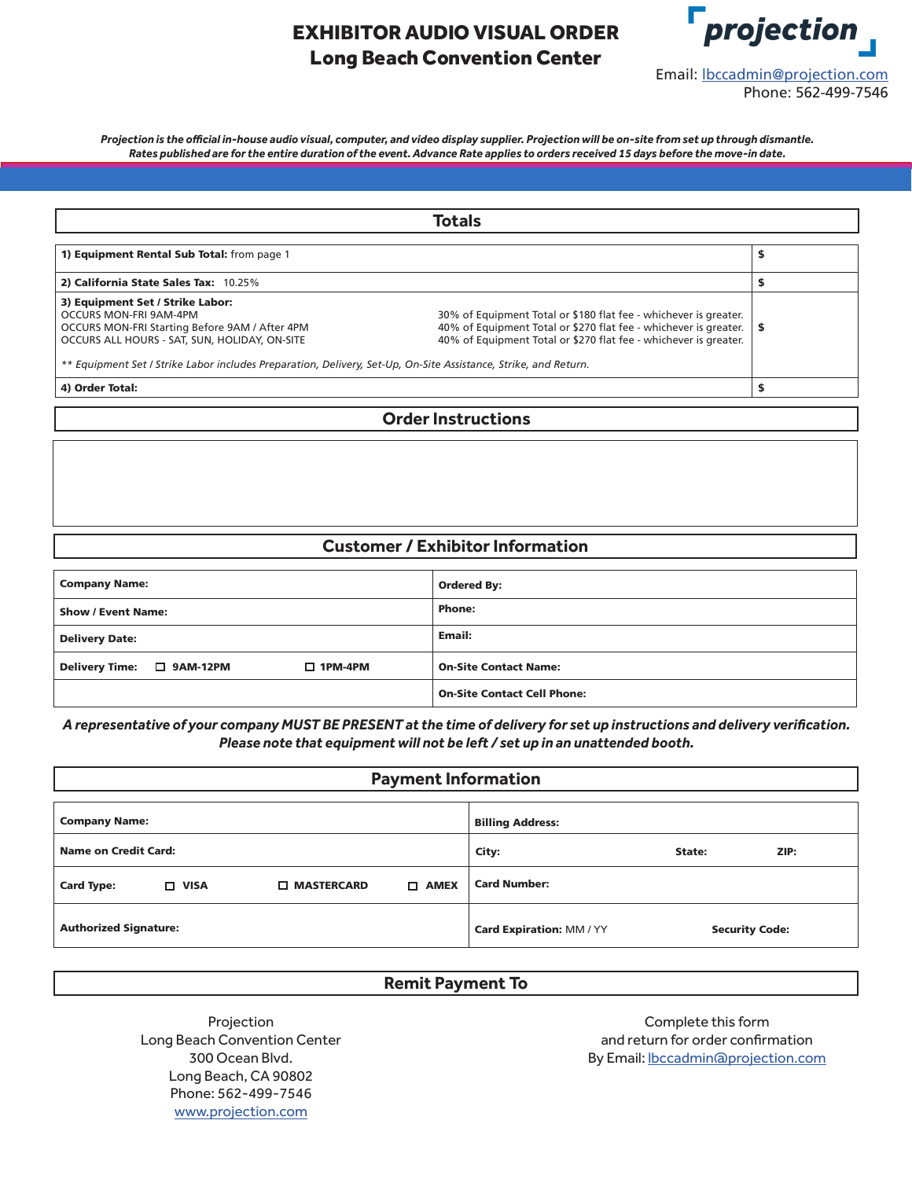# EXHIBITOR AUDIO VISUAL ORDER Long Beach Convention Center



*Projection is the official in-house audio visual, computer, and video display supplier. Projection will be on-site from set up through dismantle. Rates published are for the entire duration of the event. Advance Rate applies to orders received 15 days before the move-in date.*

|                                                                                                                                                                                                                                                                                  | Totals                                                                                                                                                                                                   |  |
|----------------------------------------------------------------------------------------------------------------------------------------------------------------------------------------------------------------------------------------------------------------------------------|----------------------------------------------------------------------------------------------------------------------------------------------------------------------------------------------------------|--|
| 1) Equipment Rental Sub Total: from page 1                                                                                                                                                                                                                                       |                                                                                                                                                                                                          |  |
| 2) California State Sales Tax: 10.25%                                                                                                                                                                                                                                            |                                                                                                                                                                                                          |  |
| 3) Equipment Set / Strike Labor:<br>OCCURS MON-FRI 9AM-4PM<br>OCCURS MON-FRI Starting Before 9AM / After 4PM<br>OCCURS ALL HOURS - SAT. SUN. HOLIDAY. ON-SITE<br>** Equipment Set / Strike Labor includes Preparation, Delivery, Set-Up, On-Site Assistance, Strike, and Return. | 30% of Equipment Total or \$180 flat fee - whichever is greater.<br>40% of Equipment Total or \$270 flat fee - whichever is greater.<br>40% of Equipment Total or \$270 flat fee - whichever is greater. |  |
| 4) Order Total:                                                                                                                                                                                                                                                                  |                                                                                                                                                                                                          |  |

#### **Order Instructions**

#### **Customer / Exhibitor Information**

| <b>Company Name:</b>                            | <b>Ordered By:</b>                 |  |  |
|-------------------------------------------------|------------------------------------|--|--|
| <b>Show / Event Name:</b>                       | <b>Phone:</b>                      |  |  |
| <b>Delivery Date:</b>                           | Email:                             |  |  |
| Delivery Time:  □ 9AM-12PM<br>$\square$ 1PM-4PM | <b>On-Site Contact Name:</b>       |  |  |
|                                                 | <b>On-Site Contact Cell Phone:</b> |  |  |

*A representative of your company MUST BE PRESENT at the time of delivery for set up instructions and delivery verification. Please note that equipment will not be left / set up in an unattended booth.*

| <b>Payment Information</b>   |             |                               |                       |                         |  |  |
|------------------------------|-------------|-------------------------------|-----------------------|-------------------------|--|--|
|                              |             |                               |                       |                         |  |  |
| <b>Company Name:</b>         |             |                               |                       | <b>Billing Address:</b> |  |  |
| Name on Credit Card:         |             | City:                         | State:                | ZIP:                    |  |  |
| <b>Card Type:</b>            | $\Box$ VISA | <b>D</b> MASTERCARD           | <b>AMEX</b><br>$\Box$ | <b>Card Number:</b>     |  |  |
| <b>Authorized Signature:</b> |             | <b>Card Expiration: MM/YY</b> |                       | <b>Security Code:</b>   |  |  |

#### **Remit Payment To**

Projection Long Beach Convention Center 300 Ocean Blvd. Long Beach, CA 90802 Phone: 562-499-7546 www.projection.com

Complete this form and return for order confirmation By Email: lbccadmin@projection.com